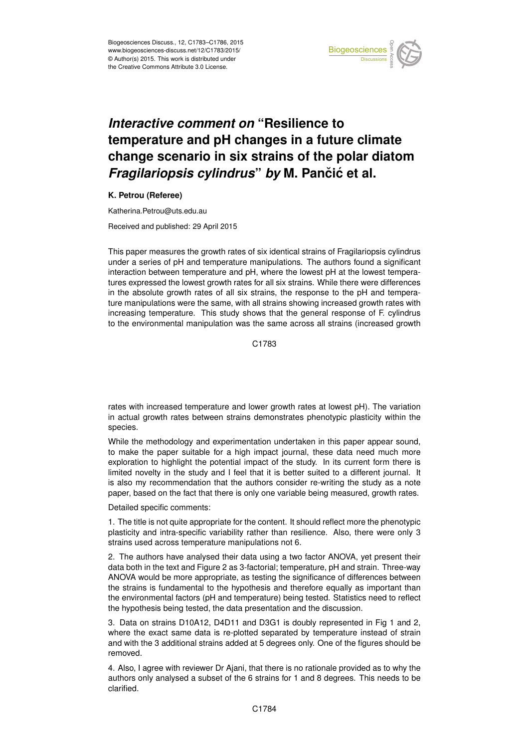

## *Interactive comment on* **"Resilience to temperature and pH changes in a future climate change scenario in six strains of the polar diatom** *Fragilariopsis cylindrus by* M. Pančić et al.

## **K. Petrou (Referee)**

Katherina.Petrou@uts.edu.au

Received and published: 29 April 2015

This paper measures the growth rates of six identical strains of Fragilariopsis cylindrus under a series of pH and temperature manipulations. The authors found a significant interaction between temperature and pH, where the lowest pH at the lowest temperatures expressed the lowest growth rates for all six strains. While there were differences in the absolute growth rates of all six strains, the response to the pH and temperature manipulations were the same, with all strains showing increased growth rates with increasing temperature. This study shows that the general response of F. cylindrus to the environmental manipulation was the same across all strains (increased growth

C<sub>1783</sub>

rates with increased temperature and lower growth rates at lowest pH). The variation in actual growth rates between strains demonstrates phenotypic plasticity within the species.

While the methodology and experimentation undertaken in this paper appear sound, to make the paper suitable for a high impact journal, these data need much more exploration to highlight the potential impact of the study. In its current form there is limited novelty in the study and I feel that it is better suited to a different journal. It is also my recommendation that the authors consider re-writing the study as a note paper, based on the fact that there is only one variable being measured, growth rates.

Detailed specific comments:

1. The title is not quite appropriate for the content. It should reflect more the phenotypic plasticity and intra-specific variability rather than resilience. Also, there were only 3 strains used across temperature manipulations not 6.

2. The authors have analysed their data using a two factor ANOVA, yet present their data both in the text and Figure 2 as 3-factorial; temperature, pH and strain. Three-way ANOVA would be more appropriate, as testing the significance of differences between the strains is fundamental to the hypothesis and therefore equally as important than the environmental factors (pH and temperature) being tested. Statistics need to reflect the hypothesis being tested, the data presentation and the discussion.

3. Data on strains D10A12, D4D11 and D3G1 is doubly represented in Fig 1 and 2, where the exact same data is re-plotted separated by temperature instead of strain and with the 3 additional strains added at 5 degrees only. One of the figures should be removed.

4. Also, I agree with reviewer Dr Ajani, that there is no rationale provided as to why the authors only analysed a subset of the 6 strains for 1 and 8 degrees. This needs to be clarified.